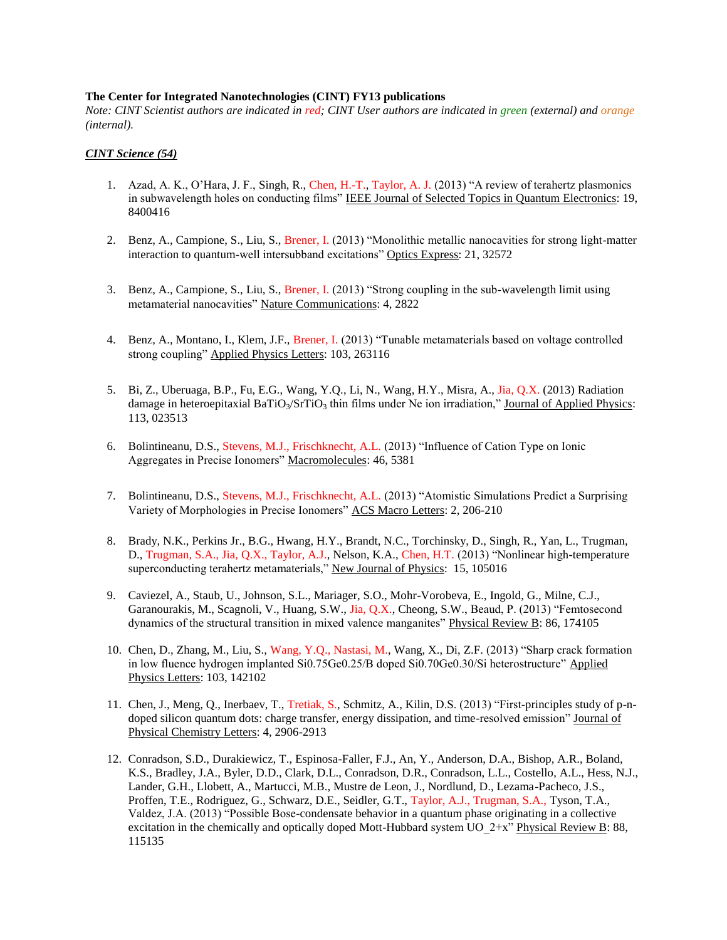### **The Center for Integrated Nanotechnologies (CINT) FY13 publications**

*Note: CINT Scientist authors are indicated in red; CINT User authors are indicated in green (external) and orange (internal).*

# *CINT Science (54)*

- 1. Azad, A. K., O'Hara, J. F., Singh, R., Chen, H.-T., Taylor, A. J. (2013) "A review of terahertz plasmonics in subwavelength holes on conducting films" IEEE Journal of Selected Topics in Quantum Electronics: 19, 8400416
- 2. Benz, A., Campione, S., Liu, S., Brener, I. (2013) "Monolithic metallic nanocavities for strong light-matter interaction to quantum-well intersubband excitations" Optics Express: 21, 32572
- 3. Benz, A., Campione, S., Liu, S., Brener, I. (2013) "Strong coupling in the sub-wavelength limit using metamaterial nanocavities" Nature Communications: 4, 2822
- 4. Benz, A., Montano, I., Klem, J.F., Brener, I. (2013) "Tunable metamaterials based on voltage controlled strong coupling" Applied Physics Letters: 103, 263116
- 5. Bi, Z., Uberuaga, B.P., Fu, E.G., Wang, Y.Q., Li, N., Wang, H.Y., Misra, A., Jia, Q.X. (2013) Radiation damage in heteroepitaxial BaTiO<sub>3</sub>/SrTiO<sub>3</sub> thin films under Ne ion irradiation," Journal of Applied Physics: 113, 023513
- 6. Bolintineanu, D.S., Stevens, M.J., Frischknecht, A.L. (2013) "Influence of Cation Type on Ionic Aggregates in Precise Ionomers" Macromolecules: 46, 5381
- 7. Bolintineanu, D.S., Stevens, M.J., Frischknecht, A.L. (2013) "Atomistic Simulations Predict a Surprising Variety of Morphologies in Precise Ionomers" ACS Macro Letters: 2, 206-210
- 8. Brady, N.K., Perkins Jr., B.G., Hwang, H.Y., Brandt, N.C., Torchinsky, D., Singh, R., Yan, L., Trugman, D., Trugman, S.A., Jia, Q.X., Taylor, A.J., Nelson, K.A., Chen, H.T. (2013) "Nonlinear high-temperature superconducting terahertz metamaterials," New Journal of Physics: 15, 105016
- 9. Caviezel, A., Staub, U., Johnson, S.L., Mariager, S.O., Mohr-Vorobeva, E., Ingold, G., Milne, C.J., Garanourakis, M., Scagnoli, V., Huang, S.W., Jia, Q.X., Cheong, S.W., Beaud, P. (2013) "Femtosecond dynamics of the structural transition in mixed valence manganites" Physical Review B: 86, 174105
- 10. Chen, D., Zhang, M., Liu, S., Wang, Y.Q., Nastasi, M., Wang, X., Di, Z.F. (2013) "Sharp crack formation in low fluence hydrogen implanted Si0.75Ge0.25/B doped Si0.70Ge0.30/Si heterostructure" Applied Physics Letters: 103, 142102
- 11. Chen, J., Meng, Q., Inerbaev, T., Tretiak, S., Schmitz, A., Kilin, D.S. (2013) "First-principles study of p-ndoped silicon quantum dots: charge transfer, energy dissipation, and time-resolved emission" Journal of Physical Chemistry Letters: 4, 2906-2913
- 12. Conradson, S.D., Durakiewicz, T., Espinosa-Faller, F.J., An, Y., Anderson, D.A., Bishop, A.R., Boland, K.S., Bradley, J.A., Byler, D.D., Clark, D.L., Conradson, D.R., Conradson, L.L., Costello, A.L., Hess, N.J., Lander, G.H., Llobett, A., Martucci, M.B., Mustre de Leon, J., Nordlund, D., Lezama-Pacheco, J.S., Proffen, T.E., Rodriguez, G., Schwarz, D.E., Seidler, G.T., Taylor, A.J., Trugman, S.A., Tyson, T.A., Valdez, J.A. (2013) "Possible Bose-condensate behavior in a quantum phase originating in a collective excitation in the chemically and optically doped Mott-Hubbard system UO  $2+x$ " Physical Review B: 88, 115135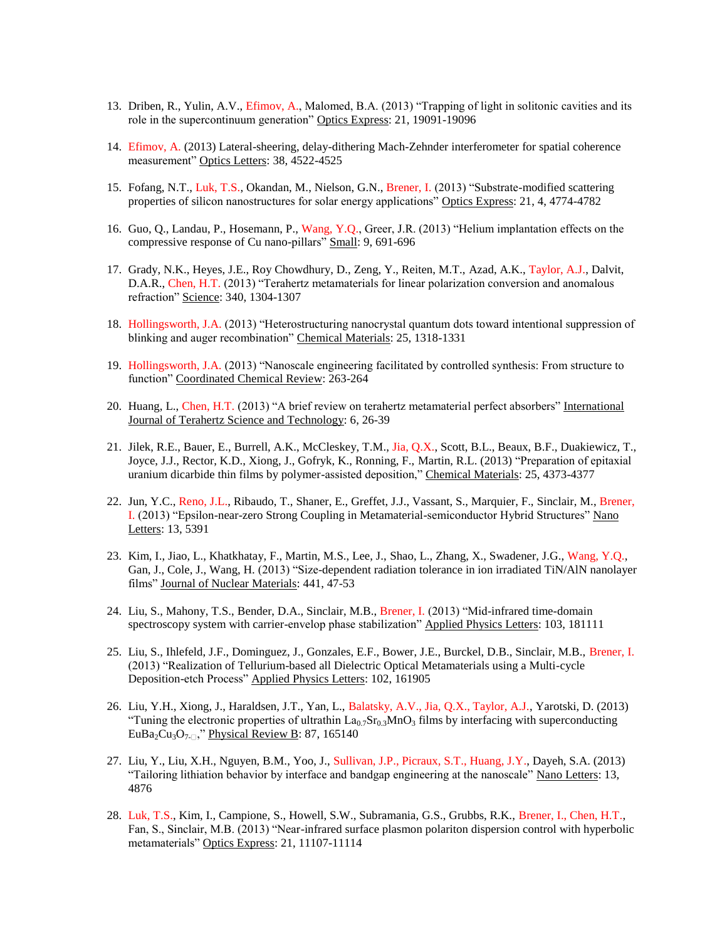- 13. Driben, R., Yulin, A.V., Efimov, A., Malomed, B.A. (2013) "Trapping of light in solitonic cavities and its role in the supercontinuum generation" Optics Express: 21, 19091-19096
- 14. Efimov, A. (2013) Lateral-sheering, delay-dithering Mach-Zehnder interferometer for spatial coherence measurement" Optics Letters: 38, 4522-4525
- 15. Fofang, N.T., Luk, T.S., Okandan, M., Nielson, G.N., Brener, I. (2013) "Substrate-modified scattering properties of silicon nanostructures for solar energy applications" Optics Express: 21, 4, 4774-4782
- 16. Guo, Q., Landau, P., Hosemann, P., Wang, Y.Q., Greer, J.R. (2013) "Helium implantation effects on the compressive response of Cu nano-pillars" Small: 9, 691-696
- 17. Grady, N.K., Heyes, J.E., Roy Chowdhury, D., Zeng, Y., Reiten, M.T., Azad, A.K., Taylor, A.J., Dalvit, D.A.R., Chen, H.T. (2013) "Terahertz metamaterials for linear polarization conversion and anomalous refraction" Science: 340, 1304-1307
- 18. Hollingsworth, J.A. (2013) "Heterostructuring nanocrystal quantum dots toward intentional suppression of blinking and auger recombination" Chemical Materials: 25, 1318-1331
- 19. Hollingsworth, J.A. (2013) "Nanoscale engineering facilitated by controlled synthesis: From structure to function" Coordinated Chemical Review: 263-264
- 20. Huang, L., Chen, H.T. (2013) "A brief review on terahertz metamaterial perfect absorbers" International Journal of Terahertz Science and Technology: 6, 26-39
- 21. Jilek, R.E., Bauer, E., Burrell, A.K., McCleskey, T.M., Jia, Q.X., Scott, B.L., Beaux, B.F., Duakiewicz, T., Joyce, J.J., Rector, K.D., Xiong, J., Gofryk, K., Ronning, F., Martin, R.L. (2013) "Preparation of epitaxial uranium dicarbide thin films by polymer-assisted deposition," Chemical Materials: 25, 4373-4377
- 22. Jun, Y.C., Reno, J.L., Ribaudo, T., Shaner, E., Greffet, J.J., Vassant, S., Marquier, F., Sinclair, M., Brener, I. (2013) "Epsilon-near-zero Strong Coupling in Metamaterial-semiconductor Hybrid Structures" Nano Letters: 13, 5391
- 23. Kim, I., Jiao, L., Khatkhatay, F., Martin, M.S., Lee, J., Shao, L., Zhang, X., Swadener, J.G., Wang, Y.Q., Gan, J., Cole, J., Wang, H. (2013) "Size-dependent radiation tolerance in ion irradiated TiN/AlN nanolayer films" Journal of Nuclear Materials: 441, 47-53
- 24. Liu, S., Mahony, T.S., Bender, D.A., Sinclair, M.B., Brener, I. (2013) "Mid-infrared time-domain spectroscopy system with carrier-envelop phase stabilization" Applied Physics Letters: 103, 181111
- 25. Liu, S., Ihlefeld, J.F., Dominguez, J., Gonzales, E.F., Bower, J.E., Burckel, D.B., Sinclair, M.B., Brener, I. (2013) "Realization of Tellurium-based all Dielectric Optical Metamaterials using a Multi-cycle Deposition-etch Process" Applied Physics Letters: 102, 161905
- 26. Liu, Y.H., Xiong, J., Haraldsen, J.T., Yan, L., Balatsky, A.V., Jia, Q.X., Taylor, A.J., Yarotski, D. (2013) "Tuning the electronic properties of ultrathin  $La_{0.7}Sr_{0.3}MnO_3$  films by interfacing with superconducting EuBa<sub>2</sub>Cu<sub>3</sub>O<sub>7- $\Box$ </sub>," <u>Physical Review B</u>: 87, 165140
- 27. Liu, Y., Liu, X.H., Nguyen, B.M., Yoo, J., Sullivan, J.P., Picraux, S.T., Huang, J.Y., Dayeh, S.A. (2013) "Tailoring lithiation behavior by interface and bandgap engineering at the nanoscale" Nano Letters: 13, 4876
- 28. Luk, T.S., Kim, I., Campione, S., Howell, S.W., Subramania, G.S., Grubbs, R.K., Brener, I., Chen, H.T., Fan, S., Sinclair, M.B. (2013) "Near-infrared surface plasmon polariton dispersion control with hyperbolic metamaterials" Optics Express: 21, 11107-11114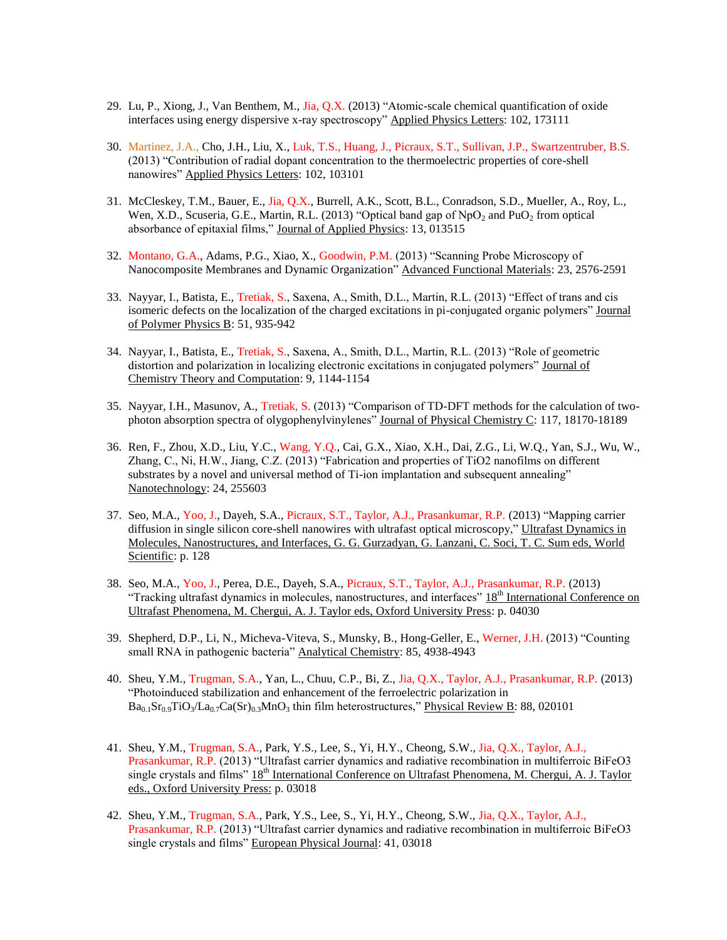- 29. Lu, P., Xiong, J., Van Benthem, M., Jia, Q.X. (2013) "Atomic-scale chemical quantification of oxide interfaces using energy dispersive x-ray spectroscopy" Applied Physics Letters: 102, 173111
- 30. Martinez, J.A., Cho, J.H., Liu, X., Luk, T.S., Huang, J., Picraux, S.T., Sullivan, J.P., Swartzentruber, B.S. (2013) "Contribution of radial dopant concentration to the thermoelectric properties of core-shell nanowires" Applied Physics Letters: 102, 103101
- 31. McCleskey, T.M., Bauer, E., Jia, Q.X., Burrell, A.K., Scott, B.L., Conradson, S.D., Mueller, A., Roy, L., Wen, X.D., Scuseria, G.E., Martin, R.L. (2013) "Optical band gap of  $NpO<sub>2</sub>$  and PuO<sub>2</sub> from optical absorbance of epitaxial films," Journal of Applied Physics: 13, 013515
- 32. Montano, G.A., Adams, P.G., Xiao, X., Goodwin, P.M. (2013) "Scanning Probe Microscopy of Nanocomposite Membranes and Dynamic Organization" Advanced Functional Materials: 23, 2576-2591
- 33. Nayyar, I., Batista, E., Tretiak, S., Saxena, A., Smith, D.L., Martin, R.L. (2013) "Effect of trans and cis isomeric defects on the localization of the charged excitations in pi-conjugated organic polymers" Journal of Polymer Physics B: 51, 935-942
- 34. Nayyar, I., Batista, E., Tretiak, S., Saxena, A., Smith, D.L., Martin, R.L. (2013) "Role of geometric distortion and polarization in localizing electronic excitations in conjugated polymers" Journal of Chemistry Theory and Computation: 9, 1144-1154
- 35. Nayyar, I.H., Masunov, A., Tretiak, S. (2013) "Comparison of TD-DFT methods for the calculation of twophoton absorption spectra of olygophenylvinylenes" Journal of Physical Chemistry C: 117, 18170-18189
- 36. Ren, F., Zhou, X.D., Liu, Y.C., Wang, Y.Q., Cai, G.X., Xiao, X.H., Dai, Z.G., Li, W.Q., Yan, S.J., Wu, W., Zhang, C., Ni, H.W., Jiang, C.Z. (2013) "Fabrication and properties of TiO2 nanofilms on different substrates by a novel and universal method of Ti-ion implantation and subsequent annealing" Nanotechnology: 24, 255603
- 37. Seo, M.A., Yoo, J., Dayeh, S.A., Picraux, S.T., Taylor, A.J., Prasankumar, R.P. (2013) "Mapping carrier diffusion in single silicon core-shell nanowires with ultrafast optical microscopy," Ultrafast Dynamics in Molecules, Nanostructures, and Interfaces, G. G. Gurzadyan, G. Lanzani, C. Soci, T. C. Sum eds, World Scientific: p. 128
- 38. Seo, M.A., Yoo, J., Perea, D.E., Dayeh, S.A., Picraux, S.T., Taylor, A.J., Prasankumar, R.P. (2013) "Tracking ultrafast dynamics in molecules, nanostructures, and interfaces" 18<sup>th</sup> International Conference on Ultrafast Phenomena, M. Chergui, A. J. Taylor eds, Oxford University Press: p. 04030
- 39. Shepherd, D.P., Li, N., Micheva-Viteva, S., Munsky, B., Hong-Geller, E., Werner, J.H. (2013) "Counting small RNA in pathogenic bacteria" Analytical Chemistry: 85, 4938-4943
- 40. Sheu, Y.M., Trugman, S.A., Yan, L., Chuu, C.P., Bi, Z., Jia, Q.X., Taylor, A.J., Prasankumar, R.P. (2013) "Photoinduced stabilization and enhancement of the ferroelectric polarization in  $Ba_{0.1}Sr_{0.9}TiO_3/La_{0.7}Ca(Sr)_{0.3}MnO_3$  thin film heterostructures," Physical Review B: 88, 020101
- 41. Sheu, Y.M., Trugman, S.A., Park, Y.S., Lee, S., Yi, H.Y., Cheong, S.W., Jia, Q.X., Taylor, A.J., Prasankumar, R.P. (2013) "Ultrafast carrier dynamics and radiative recombination in multiferroic BiFeO3 single crystals and films" 18<sup>th</sup> International Conference on Ultrafast Phenomena, M. Chergui, A. J. Taylor eds., Oxford University Press: p. 03018
- 42. Sheu, Y.M., Trugman, S.A., Park, Y.S., Lee, S., Yi, H.Y., Cheong, S.W., Jia, Q.X., Taylor, A.J., Prasankumar, R.P. (2013) "Ultrafast carrier dynamics and radiative recombination in multiferroic BiFeO3 single crystals and films" European Physical Journal: 41, 03018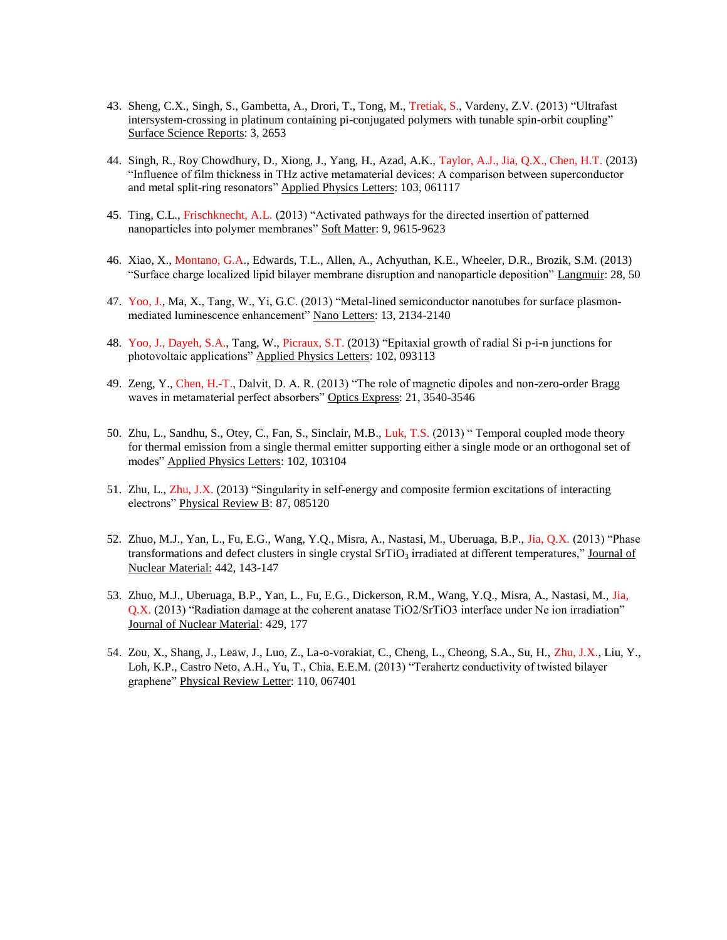- 43. Sheng, C.X., Singh, S., Gambetta, A., Drori, T., Tong, M., Tretiak, S., Vardeny, Z.V. (2013) "Ultrafast intersystem-crossing in platinum containing pi-conjugated polymers with tunable spin-orbit coupling" Surface Science Reports: 3, 2653
- 44. Singh, R., Roy Chowdhury, D., Xiong, J., Yang, H., Azad, A.K., Taylor, A.J., Jia, Q.X., Chen, H.T. (2013) "Influence of film thickness in THz active metamaterial devices: A comparison between superconductor and metal split-ring resonators" Applied Physics Letters: 103, 061117
- 45. Ting, C.L., Frischknecht, A.L. (2013) "Activated pathways for the directed insertion of patterned nanoparticles into polymer membranes" Soft Matter: 9, 9615-9623
- 46. Xiao, X., Montano, G.A., Edwards, T.L., Allen, A., Achyuthan, K.E., Wheeler, D.R., Brozik, S.M. (2013) "Surface charge localized lipid bilayer membrane disruption and nanoparticle deposition" Langmuir: 28, 50
- 47. Yoo, J., Ma, X., Tang, W., Yi, G.C. (2013) "Metal-lined semiconductor nanotubes for surface plasmonmediated luminescence enhancement" Nano Letters: 13, 2134-2140
- 48. Yoo, J., Dayeh, S.A., Tang, W., Picraux, S.T. (2013) "Epitaxial growth of radial Si p-i-n junctions for photovoltaic applications" Applied Physics Letters: 102, 093113
- 49. Zeng, Y., Chen, H.-T., Dalvit, D. A. R. (2013) "The role of magnetic dipoles and non-zero-order Bragg waves in metamaterial perfect absorbers" Optics Express: 21, 3540-3546
- 50. Zhu, L., Sandhu, S., Otey, C., Fan, S., Sinclair, M.B., Luk, T.S. (2013) " Temporal coupled mode theory for thermal emission from a single thermal emitter supporting either a single mode or an orthogonal set of modes" Applied Physics Letters: 102, 103104
- 51. Zhu, L., Zhu, J.X. (2013) "Singularity in self-energy and composite fermion excitations of interacting electrons" Physical Review B: 87, 085120
- 52. Zhuo, M.J., Yan, L., Fu, E.G., Wang, Y.Q., Misra, A., Nastasi, M., Uberuaga, B.P., Jia, Q.X. (2013) "Phase transformations and defect clusters in single crystal  $SrTiO<sub>3</sub>$  irradiated at different temperatures," Journal of Nuclear Material: 442, 143-147
- 53. Zhuo, M.J., Uberuaga, B.P., Yan, L., Fu, E.G., Dickerson, R.M., Wang, Y.Q., Misra, A., Nastasi, M., Jia, Q.X. (2013) "Radiation damage at the coherent anatase TiO2/SrTiO3 interface under Ne ion irradiation" Journal of Nuclear Material: 429, 177
- 54. Zou, X., Shang, J., Leaw, J., Luo, Z., La-o-vorakiat, C., Cheng, L., Cheong, S.A., Su, H., Zhu, J.X., Liu, Y., Loh, K.P., Castro Neto, A.H., Yu, T., Chia, E.E.M. (2013) "Terahertz conductivity of twisted bilayer graphene" Physical Review Letter: 110, 067401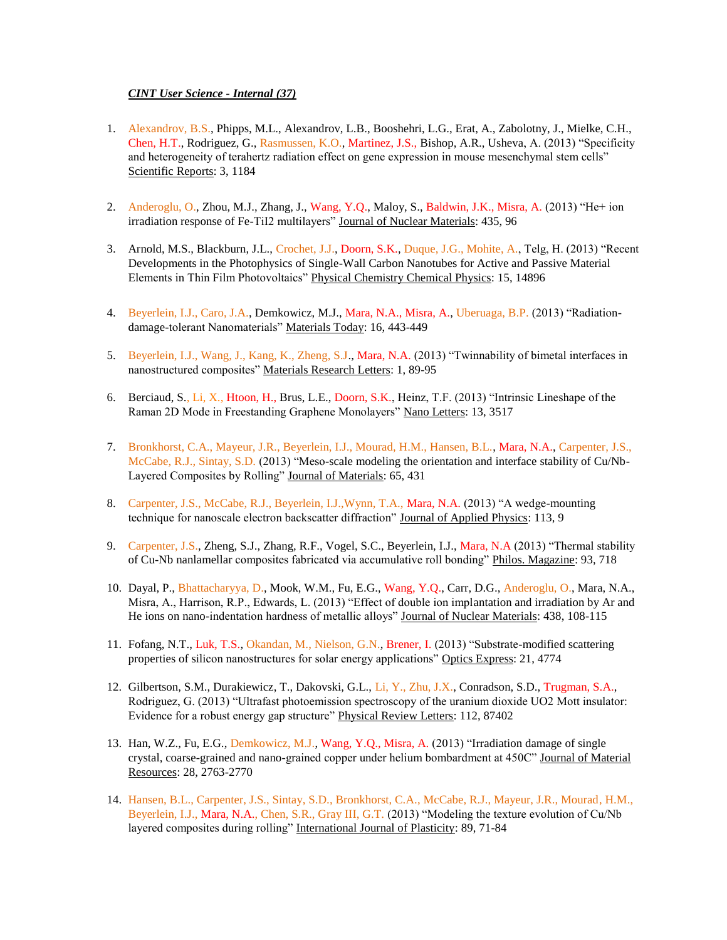### *CINT User Science - Internal (37)*

- 1. Alexandrov, B.S., Phipps, M.L., Alexandrov, L.B., Booshehri, L.G., Erat, A., Zabolotny, J., Mielke, C.H., Chen, H.T., Rodriguez, G., Rasmussen, K.O., Martinez, J.S., Bishop, A.R., Usheva, A. (2013) "Specificity and heterogeneity of terahertz radiation effect on gene expression in mouse mesenchymal stem cells" Scientific Reports: 3, 1184
- 2. Anderoglu, O., Zhou, M.J., Zhang, J., Wang, Y.Q., Maloy, S., Baldwin, J.K., Misra, A. (2013) "He+ ion irradiation response of Fe-TiI2 multilayers" Journal of Nuclear Materials: 435, 96
- 3. Arnold, M.S., Blackburn, J.L., Crochet, J.J., Doorn, S.K., Duque, J.G., Mohite, A., Telg, H. (2013) "Recent Developments in the Photophysics of Single-Wall Carbon Nanotubes for Active and Passive Material Elements in Thin Film Photovoltaics" Physical Chemistry Chemical Physics: 15, 14896
- 4. Beyerlein, I.J., Caro, J.A., Demkowicz, M.J., Mara, N.A., Misra, A., Uberuaga, B.P. (2013) "Radiationdamage-tolerant Nanomaterials" Materials Today: 16, 443-449
- 5. Beyerlein, I.J., Wang, J., Kang, K., Zheng, S.J., Mara, N.A. (2013) "Twinnability of bimetal interfaces in nanostructured composites" Materials Research Letters: 1, 89-95
- 6. Berciaud, S., Li, X., Htoon, H., Brus, L.E., Doorn, S.K., Heinz, T.F. (2013) "Intrinsic Lineshape of the Raman 2D Mode in Freestanding Graphene Monolayers" Nano Letters: 13, 3517
- 7. Bronkhorst, C.A., Mayeur, J.R., Beyerlein, I.J., Mourad, H.M., Hansen, B.L., Mara, N.A., Carpenter, J.S., McCabe, R.J., Sintay, S.D. (2013) "Meso-scale modeling the orientation and interface stability of Cu/Nb-Layered Composites by Rolling" Journal of Materials: 65, 431
- 8. Carpenter, J.S., McCabe, R.J., Beyerlein, I.J.,Wynn, T.A., Mara, N.A. (2013) "A wedge-mounting technique for nanoscale electron backscatter diffraction" Journal of Applied Physics: 113, 9
- 9. Carpenter, J.S., Zheng, S.J., Zhang, R.F., Vogel, S.C., Beyerlein, I.J., Mara, N.A (2013) "Thermal stability of Cu-Nb nanlamellar composites fabricated via accumulative roll bonding" Philos. Magazine: 93, 718
- 10. Dayal, P., Bhattacharyya, D., Mook, W.M., Fu, E.G., Wang, Y.Q., Carr, D.G., Anderoglu, O., Mara, N.A., Misra, A., Harrison, R.P., Edwards, L. (2013) "Effect of double ion implantation and irradiation by Ar and He ions on nano-indentation hardness of metallic alloys" Journal of Nuclear Materials: 438, 108-115
- 11. Fofang, N.T., Luk, T.S., Okandan, M., Nielson, G.N., Brener, I. (2013) "Substrate-modified scattering properties of silicon nanostructures for solar energy applications" Optics Express: 21, 4774
- 12. Gilbertson, S.M., Durakiewicz, T., Dakovski, G.L., Li, Y., Zhu, J.X., Conradson, S.D., Trugman, S.A., Rodriguez, G. (2013) "Ultrafast photoemission spectroscopy of the uranium dioxide UO2 Mott insulator: Evidence for a robust energy gap structure" Physical Review Letters: 112, 87402
- 13. Han, W.Z., Fu, E.G., Demkowicz, M.J., Wang, Y.Q., Misra, A. (2013) "Irradiation damage of single crystal, coarse-grained and nano-grained copper under helium bombardment at 450C" Journal of Material Resources: 28, 2763-2770
- 14. Hansen, B.L., Carpenter, J.S., Sintay, S.D., Bronkhorst, C.A., McCabe, R.J., Mayeur, J.R., Mourad, H.M., Beyerlein, I.J., Mara, N.A., Chen, S.R., Gray III, G.T. (2013) "Modeling the texture evolution of Cu/Nb layered composites during rolling" International Journal of Plasticity: 89, 71-84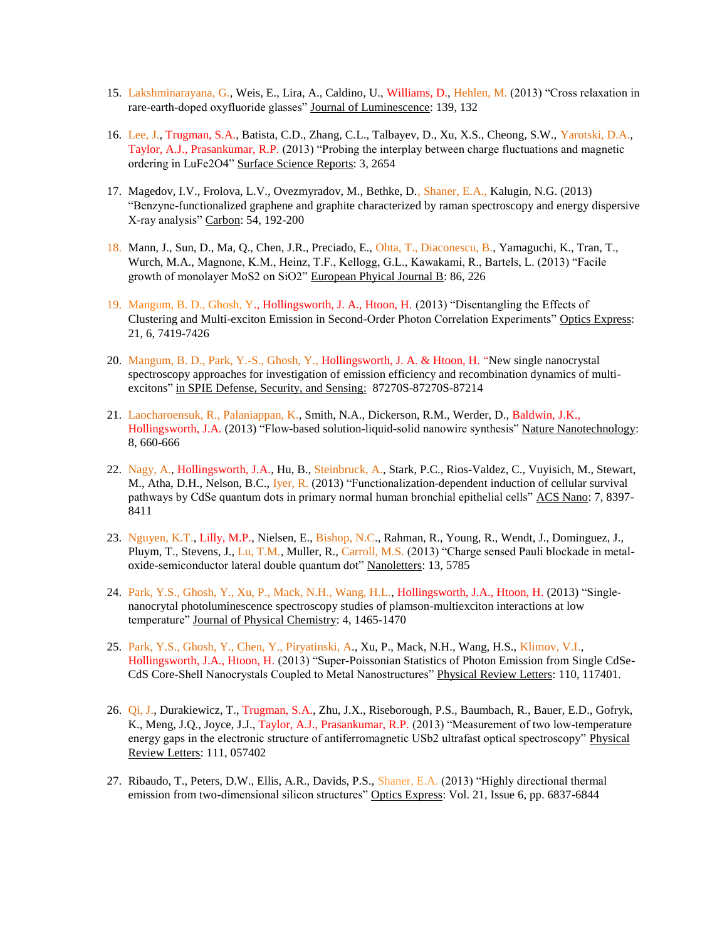- 15. Lakshminarayana, G., Weis, E., Lira, A., Caldino, U., Williams, D., Hehlen, M. (2013) "Cross relaxation in rare-earth-doped oxyfluoride glasses" Journal of Luminescence: 139, 132
- 16. Lee, J., Trugman, S.A., Batista, C.D., Zhang, C.L., Talbayev, D., Xu, X.S., Cheong, S.W., Yarotski, D.A., Taylor, A.J., Prasankumar, R.P. (2013) "Probing the interplay between charge fluctuations and magnetic ordering in LuFe2O4" Surface Science Reports: 3, 2654
- 17. Magedov, I.V., Frolova, L.V., Ovezmyradov, M., Bethke, D., Shaner, E.A., Kalugin, N.G. (2013) "Benzyne-functionalized graphene and graphite characterized by raman spectroscopy and energy dispersive X-ray analysis" Carbon: 54, 192-200
- 18. Mann, J., Sun, D., Ma, Q., Chen, J.R., Preciado, E., Ohta, T., Diaconescu, B., Yamaguchi, K., Tran, T., Wurch, M.A., Magnone, K.M., Heinz, T.F., Kellogg, G.L., Kawakami, R., Bartels, L. (2013) "Facile growth of monolayer MoS2 on SiO2" European Phyical Journal B: 86, 226
- 19. Mangum, B. D., Ghosh, Y., Hollingsworth, J. A., Htoon, H. (2013) "Disentangling the Effects of Clustering and Multi-exciton Emission in Second-Order Photon Correlation Experiments" Optics Express: 21, 6, 7419-7426
- 20. Mangum, B. D., Park, Y.-S., Ghosh, Y., Hollingsworth, J. A. & Htoon, H. "New single nanocrystal spectroscopy approaches for investigation of emission efficiency and recombination dynamics of multiexcitons" in SPIE Defense, Security, and Sensing: 87270S-87270S-87214
- 21. Laocharoensuk, R., Palaniappan, K., Smith, N.A., Dickerson, R.M., Werder, D., Baldwin, J.K., Hollingsworth, J.A. (2013) "Flow-based solution-liquid-solid nanowire synthesis" Nature Nanotechnology: 8, 660-666
- 22. Nagy, A., Hollingsworth, J.A., Hu, B., Steinbruck, A., Stark, P.C., Rios-Valdez, C., Vuyisich, M., Stewart, M., Atha, D.H., Nelson, B.C., Iyer, R. (2013) "Functionalization-dependent induction of cellular survival pathways by CdSe quantum dots in primary normal human bronchial epithelial cells" ACS Nano: 7, 8397- 8411
- 23. Nguyen, K.T., Lilly, M.P., Nielsen, E., Bishop, N.C., Rahman, R., Young, R., Wendt, J., Dominguez, J., Pluym, T., Stevens, J., Lu, T.M., Muller, R., Carroll, M.S. (2013) "Charge sensed Pauli blockade in metaloxide-semiconductor lateral double quantum dot" Nanoletters: 13, 5785
- 24. Park, Y.S., Ghosh, Y., Xu, P., Mack, N.H., Wang, H.L., Hollingsworth, J.A., Htoon, H. (2013) "Singlenanocrytal photoluminescence spectroscopy studies of plamson-multiexciton interactions at low temperature" Journal of Physical Chemistry: 4, 1465-1470
- 25. Park, Y.S., Ghosh, Y., Chen, Y., Piryatinski, A., Xu, P., Mack, N.H., Wang, H.S., Klimov, V.I., Hollingsworth, J.A., Htoon, H. (2013) "Super-Poissonian Statistics of Photon Emission from Single CdSe-CdS Core-Shell Nanocrystals Coupled to Metal Nanostructures" Physical Review Letters: 110, 117401.
- 26. Qi, J., Durakiewicz, T., Trugman, S.A., Zhu, J.X., Riseborough, P.S., Baumbach, R., Bauer, E.D., Gofryk, K., Meng, J.Q., Joyce, J.J., Taylor, A.J., Prasankumar, R.P. (2013) "Measurement of two low-temperature energy gaps in the electronic structure of antiferromagnetic USb2 ultrafast optical spectroscopy" Physical Review Letters: 111, 057402
- 27. Ribaudo, T., Peters, D.W., Ellis, A.R., Davids, P.S., Shaner, E.A. (2013) "Highly directional thermal emission from two-dimensional silicon structures" Optics Express: Vol. 21, Issue 6, pp. 6837-6844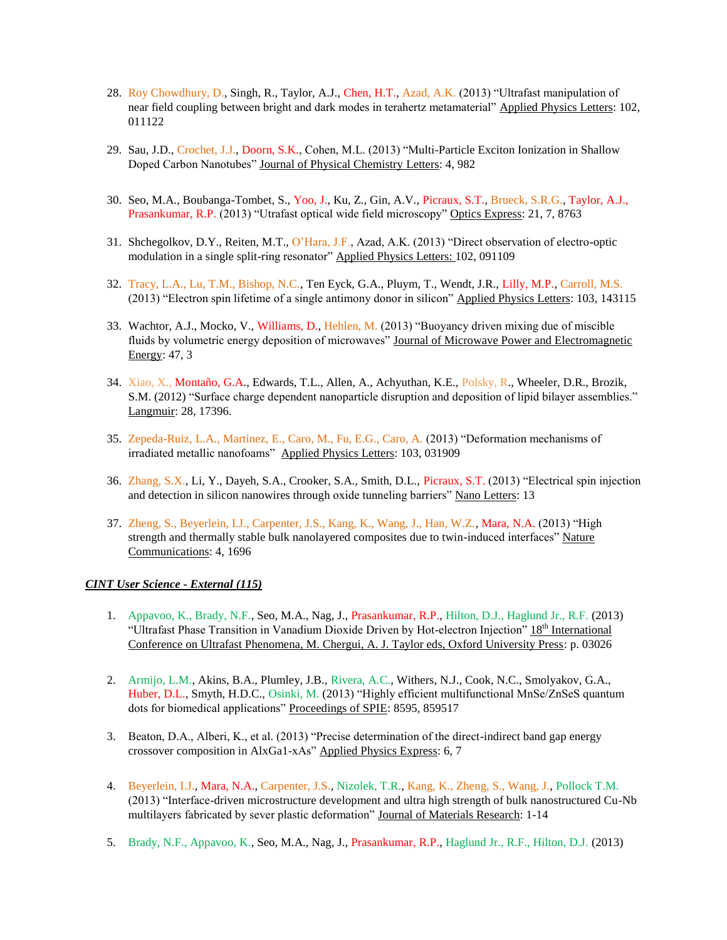- 28. Roy Chowdhury, D., Singh, R., Taylor, A.J., Chen, H.T., Azad, A.K. (2013) "Ultrafast manipulation of near field coupling between bright and dark modes in terahertz metamaterial" Applied Physics Letters: 102, 011122
- 29. Sau, J.D., Crochet, J.J., Doorn, S.K., Cohen, M.L. (2013) "Multi-Particle Exciton Ionization in Shallow Doped Carbon Nanotubes" Journal of Physical Chemistry Letters: 4, 982
- 30. Seo, M.A., Boubanga-Tombet, S., Yoo, J., Ku, Z., Gin, A.V., Picraux, S.T., Brueck, S.R.G., Taylor, A.J., Prasankumar, R.P. (2013) "Utrafast optical wide field microscopy" Optics Express: 21, 7, 8763
- 31. Shchegolkov, D.Y., Reiten, M.T., O'Hara, J.F., Azad, A.K. (2013) "Direct observation of electro-optic modulation in a single split-ring resonator" Applied Physics Letters: 102, 091109
- 32. Tracy, L.A., Lu, T.M., Bishop, N.C., Ten Eyck, G.A., Pluym, T., Wendt, J.R., Lilly, M.P., Carroll, M.S. (2013) "Electron spin lifetime of a single antimony donor in silicon" Applied Physics Letters: 103, 143115
- 33. Wachtor, A.J., Mocko, V., Williams, D., Hehlen, M. (2013) "Buoyancy driven mixing due of miscible fluids by volumetric energy deposition of microwaves" Journal of Microwave Power and Electromagnetic Energy: 47, 3
- 34. Xiao, X., Montaño, G.A., Edwards, T.L., Allen, A., Achyuthan, K.E., Polsky, R., Wheeler, D.R., Brozik, S.M. (2012) "Surface charge dependent nanoparticle disruption and deposition of lipid bilayer assemblies." Langmuir: 28, 17396.
- 35. Zepeda-Ruiz, L.A., Martinez, E., Caro, M., Fu, E.G., Caro, A. (2013) "Deformation mechanisms of irradiated metallic nanofoams" Applied Physics Letters: 103, 031909
- 36. Zhang, S.X., Li, Y., Dayeh, S.A., Crooker, S.A., Smith, D.L., Picraux, S.T. (2013) "Electrical spin injection and detection in silicon nanowires through oxide tunneling barriers" Nano Letters: 13
- 37. Zheng, S., Beyerlein, I.J., Carpenter, J.S., Kang, K., Wang, J., Han, W.Z., Mara, N.A. (2013) "High strength and thermally stable bulk nanolayered composites due to twin-induced interfaces" Nature Communications: 4, 1696

# *CINT User Science - External (115)*

- 1. Appavoo, K., Brady, N.F., Seo, M.A., Nag, J., Prasankumar, R.P., Hilton, D.J., Haglund Jr., R.F. (2013) "Ultrafast Phase Transition in Vanadium Dioxide Driven by Hot-electron Injection" 18th International Conference on Ultrafast Phenomena, M. Chergui, A. J. Taylor eds, Oxford University Press: p. 03026
- 2. Armijo, L.M., Akins, B.A., Plumley, J.B., Rivera, A.C., Withers, N.J., Cook, N.C., Smolyakov, G.A., Huber, D.L., Smyth, H.D.C., Osinki, M. (2013) "Highly efficient multifunctional MnSe/ZnSeS quantum dots for biomedical applications" Proceedings of SPIE: 8595, 859517
- 3. Beaton, D.A., Alberi, K., et al. (2013) "Precise determination of the direct-indirect band gap energy crossover composition in AlxGa1-xAs" Applied Physics Express: 6, 7
- 4. Beyerlein, I.J., Mara, N.A., Carpenter, J.S., Nizolek, T.R., Kang, K., Zheng, S., Wang, J., Pollock T.M. (2013) "Interface-driven microstructure development and ultra high strength of bulk nanostructured Cu-Nb multilayers fabricated by sever plastic deformation" Journal of Materials Research: 1-14
- 5. Brady, N.F., Appavoo, K., Seo, M.A., Nag, J., Prasankumar, R.P., Haglund Jr., R.F., Hilton, D.J. (2013)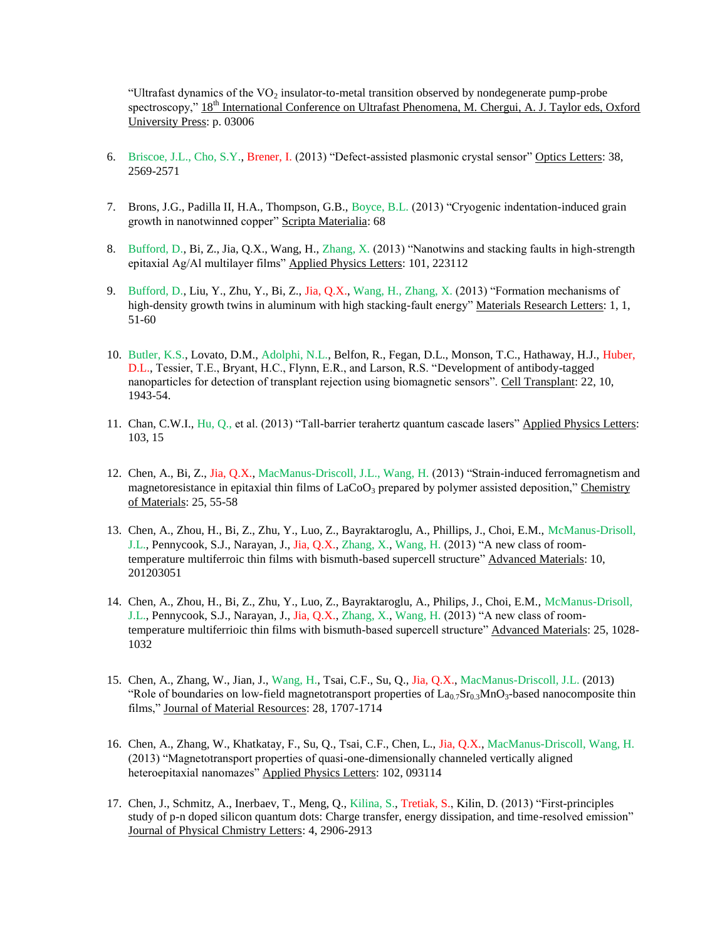"Ultrafast dynamics of the  $VO<sub>2</sub>$  insulator-to-metal transition observed by nondegenerate pump-probe spectroscopy,"  $18<sup>th</sup>$  International Conference on Ultrafast Phenomena, M. Chergui, A. J. Taylor eds, Oxford University Press: p. 03006

- 6. Briscoe, J.L., Cho, S.Y., Brener, I. (2013) "Defect-assisted plasmonic crystal sensor" Optics Letters: 38, 2569-2571
- 7. Brons, J.G., Padilla II, H.A., Thompson, G.B., Boyce, B.L. (2013) "Cryogenic indentation-induced grain growth in nanotwinned copper" Scripta Materialia: 68
- 8. Bufford, D., Bi, Z., Jia, Q.X., Wang, H., Zhang, X. (2013) "Nanotwins and stacking faults in high-strength epitaxial Ag/Al multilayer films" Applied Physics Letters: 101, 223112
- 9. Bufford, D., Liu, Y., Zhu, Y., Bi, Z., Jia, Q.X., Wang, H., Zhang, X. (2013) "Formation mechanisms of high-density growth twins in aluminum with high stacking-fault energy" Materials Research Letters: 1, 1, 51-60
- 10. Butler, K.S., Lovato, D.M., Adolphi, N.L., Belfon, R., Fegan, D.L., Monson, T.C., Hathaway, H.J., Huber, D.L., Tessier, T.E., Bryant, H.C., Flynn, E.R., and Larson, R.S. "Development of antibody-tagged nanoparticles for detection of transplant rejection using biomagnetic sensors". Cell Transplant: 22, 10, 1943-54.
- 11. Chan, C.W.I., Hu, Q., et al. (2013) "Tall-barrier terahertz quantum cascade lasers" Applied Physics Letters: 103, 15
- 12. Chen, A., Bi, Z., Jia, Q.X., MacManus-Driscoll, J.L., Wang, H. (2013) "Strain-induced ferromagnetism and magnetoresistance in epitaxial thin films of  $LaCo<sub>3</sub>$  prepared by polymer assisted deposition," Chemistry of Materials: 25, 55-58
- 13. Chen, A., Zhou, H., Bi, Z., Zhu, Y., Luo, Z., Bayraktaroglu, A., Phillips, J., Choi, E.M., McManus-Drisoll, J.L., Pennycook, S.J., Narayan, J., Jia, Q.X., Zhang, X., Wang, H. (2013) "A new class of roomtemperature multiferroic thin films with bismuth-based supercell structure" Advanced Materials: 10, 201203051
- 14. Chen, A., Zhou, H., Bi, Z., Zhu, Y., Luo, Z., Bayraktaroglu, A., Philips, J., Choi, E.M., McManus-Drisoll, J.L., Pennycook, S.J., Narayan, J., Jia, Q.X., Zhang, X., Wang, H. (2013) "A new class of roomtemperature multiferrioic thin films with bismuth-based supercell structure" Advanced Materials: 25, 1028- 1032
- 15. Chen, A., Zhang, W., Jian, J., Wang, H., Tsai, C.F., Su, Q., Jia, Q.X., MacManus-Driscoll, J.L. (2013) "Role of boundaries on low-field magnetotransport properties of  $La<sub>0.7</sub>Sr<sub>0.3</sub>MnO<sub>3</sub>$ -based nanocomposite thin films," Journal of Material Resources: 28, 1707-1714
- 16. Chen, A., Zhang, W., Khatkatay, F., Su, Q., Tsai, C.F., Chen, L., Jia, Q.X., MacManus-Driscoll, Wang, H. (2013) "Magnetotransport properties of quasi-one-dimensionally channeled vertically aligned heteroepitaxial nanomazes" Applied Physics Letters: 102, 093114
- 17. Chen, J., Schmitz, A., Inerbaev, T., Meng, Q., Kilina, S., Tretiak, S., Kilin, D. (2013) "First-principles study of p-n doped silicon quantum dots: Charge transfer, energy dissipation, and time-resolved emission" Journal of Physical Chmistry Letters: 4, 2906-2913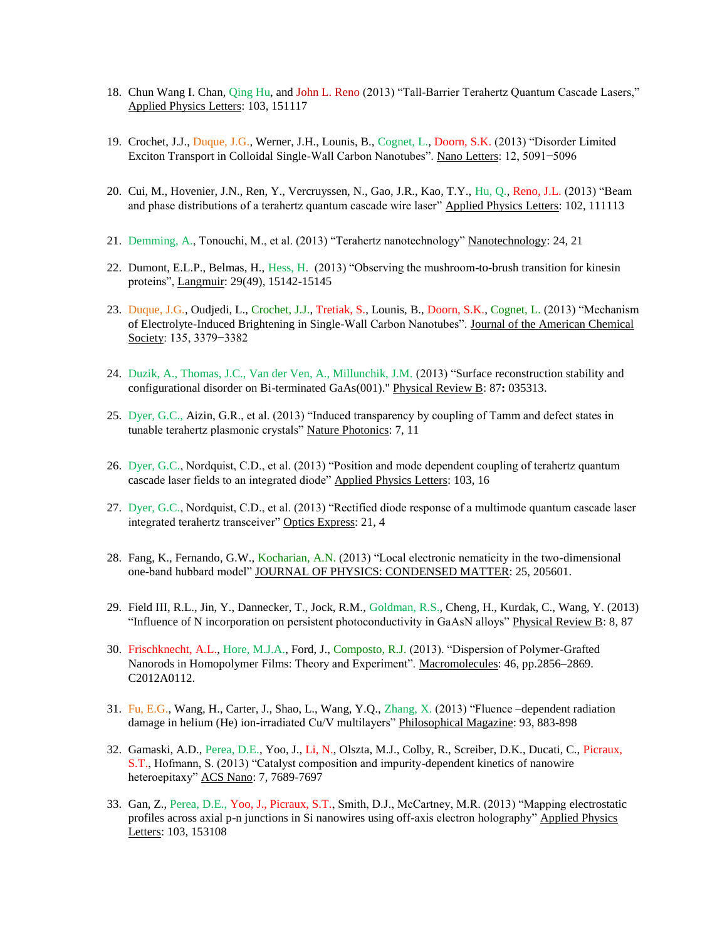- 18. Chun Wang I. Chan, Qing Hu, and John L. Reno (2013) "Tall-Barrier Terahertz Quantum Cascade Lasers," Applied Physics Letters: 103, 151117
- 19. Crochet, J.J., Duque, J.G., Werner, J.H., Lounis, B., Cognet, L., Doorn, S.K. (2013) "Disorder Limited Exciton Transport in Colloidal Single-Wall Carbon Nanotubes". Nano Letters: 12, 5091−5096
- 20. Cui, M., Hovenier, J.N., Ren, Y., Vercruyssen, N., Gao, J.R., Kao, T.Y., Hu, Q., Reno, J.L. (2013) "Beam and phase distributions of a terahertz quantum cascade wire laser" Applied Physics Letters: 102, 111113
- 21. Demming, A., Tonouchi, M., et al. (2013) "Terahertz nanotechnology" Nanotechnology: 24, 21
- 22. Dumont, E.L.P., Belmas, H., Hess, H. (2013) "Observing the mushroom-to-brush transition for kinesin proteins", Langmuir: 29(49), 15142-15145
- 23. Duque, J.G., Oudjedi, L., Crochet, J.J., Tretiak, S., Lounis, B., Doorn, S.K., Cognet, L. (2013) "Mechanism of Electrolyte-Induced Brightening in Single-Wall Carbon Nanotubes". Journal of the American Chemical Society: 135, 3379−3382
- 24. Duzik, A., Thomas, J.C., Van der Ven, A., Millunchik, J.M. (2013) "Surface reconstruction stability and configurational disorder on Bi-terminated GaAs(001)." Physical Review B: 87**:** 035313.
- 25. Dyer, G.C., Aizin, G.R., et al. (2013) "Induced transparency by coupling of Tamm and defect states in tunable terahertz plasmonic crystals" Nature Photonics: 7, 11
- 26. Dyer, G.C., Nordquist, C.D., et al. (2013) "Position and mode dependent coupling of terahertz quantum cascade laser fields to an integrated diode" Applied Physics Letters: 103, 16
- 27. Dyer, G.C., Nordquist, C.D., et al. (2013) "Rectified diode response of a multimode quantum cascade laser integrated terahertz transceiver" Optics Express: 21, 4
- 28. Fang, K., Fernando, G.W., Kocharian, A.N. (2013) "Local electronic nematicity in the two-dimensional one-band hubbard model" JOURNAL OF PHYSICS: CONDENSED MATTER: 25, 205601.
- 29. Field III, R.L., Jin, Y., Dannecker, T., Jock, R.M., Goldman, R.S., Cheng, H., Kurdak, C., Wang, Y. (2013) "Influence of N incorporation on persistent photoconductivity in GaAsN alloys" Physical Review B: 8, 87
- 30. Frischknecht, A.L., Hore, M.J.A., Ford, J., Composto, R.J. (2013). "Dispersion of Polymer-Grafted Nanorods in Homopolymer Films: Theory and Experiment". Macromolecules: 46, pp.2856–2869. C2012A0112.
- 31. Fu, E.G., Wang, H., Carter, J., Shao, L., Wang, Y.Q., Zhang, X. (2013) "Fluence –dependent radiation damage in helium (He) ion-irradiated Cu/V multilayers" Philosophical Magazine: 93, 883-898
- 32. Gamaski, A.D., Perea, D.E., Yoo, J., Li, N., Olszta, M.J., Colby, R., Screiber, D.K., Ducati, C., Picraux, S.T., Hofmann, S. (2013) "Catalyst composition and impurity-dependent kinetics of nanowire heteroepitaxy" ACS Nano: 7, 7689-7697
- 33. Gan, Z., Perea, D.E., Yoo, J., Picraux, S.T., Smith, D.J., McCartney, M.R. (2013) "Mapping electrostatic profiles across axial p-n junctions in Si nanowires using off-axis electron holography" Applied Physics Letters: 103, 153108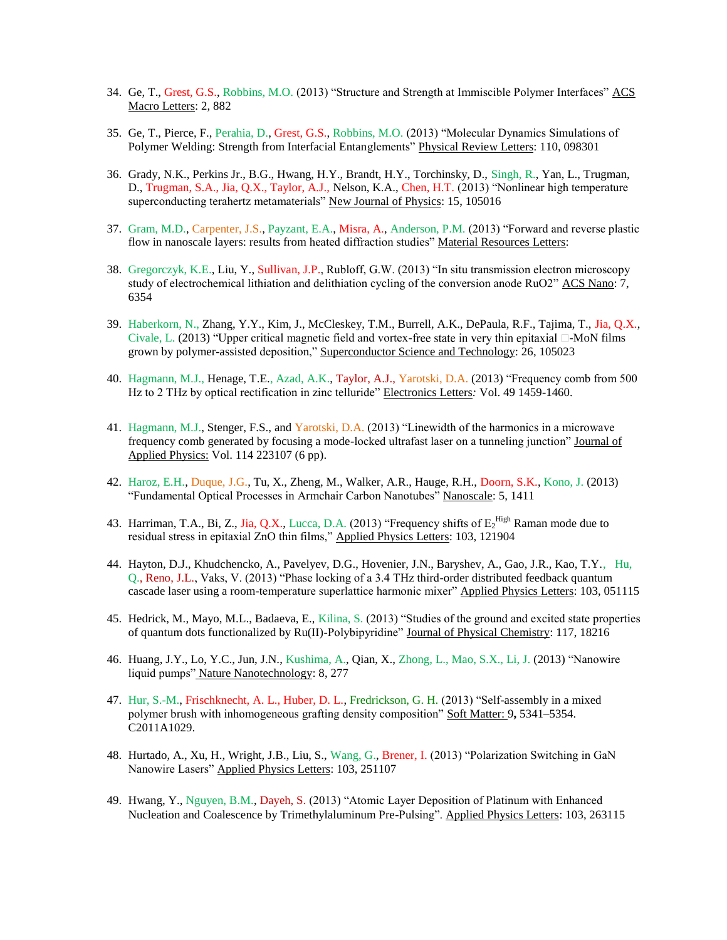- 34. Ge, T., Grest, G.S., Robbins, M.O. (2013) "Structure and Strength at Immiscible Polymer Interfaces" ACS Macro Letters: 2, 882
- 35. Ge, T., Pierce, F., Perahia, D., Grest, G.S., Robbins, M.O. (2013) "Molecular Dynamics Simulations of Polymer Welding: Strength from Interfacial Entanglements" Physical Review Letters: 110, 098301
- 36. Grady, N.K., Perkins Jr., B.G., Hwang, H.Y., Brandt, H.Y., Torchinsky, D., Singh, R., Yan, L., Trugman, D., Trugman, S.A., Jia, Q.X., Taylor, A.J., Nelson, K.A., Chen, H.T. (2013) "Nonlinear high temperature superconducting terahertz metamaterials" New Journal of Physics: 15, 105016
- 37. Gram, M.D., Carpenter, J.S., Payzant, E.A., Misra, A., Anderson, P.M. (2013) "Forward and reverse plastic flow in nanoscale layers: results from heated diffraction studies" Material Resources Letters:
- 38. Gregorczyk, K.E., Liu, Y., Sullivan, J.P., Rubloff, G.W. (2013) "In situ transmission electron microscopy study of electrochemical lithiation and delithiation cycling of the conversion anode RuO2" ACS Nano: 7, 6354
- 39. Haberkorn, N., Zhang, Y.Y., Kim, J., McCleskey, T.M., Burrell, A.K., DePaula, R.F., Tajima, T., Jia, Q.X., Civale, L. (2013) "Upper critical magnetic field and vortex-free state in very thin epitaxial  $\Box$ -MoN films grown by polymer-assisted deposition," Superconductor Science and Technology: 26, 105023
- 40. Hagmann, M.J., Henage, T.E., Azad, A.K., Taylor, A.J., Yarotski, D.A. (2013) "Frequency comb from 500 Hz to 2 THz by optical rectification in zinc telluride" Electronics Letters*:* Vol. 49 1459-1460.
- 41. Hagmann, M.J., Stenger, F.S., and Yarotski, D.A. (2013) "Linewidth of the harmonics in a microwave frequency comb generated by focusing a mode-locked ultrafast laser on a tunneling junction" Journal of Applied Physics: Vol. 114 223107 (6 pp).
- 42. Haroz, E.H., Duque, J.G., Tu, X., Zheng, M., Walker, A.R., Hauge, R.H., Doorn, S.K., Kono, J. (2013) "Fundamental Optical Processes in Armchair Carbon Nanotubes" Nanoscale: 5, 1411
- 43. Harriman, T.A., Bi, Z., Jia, Q.X., Lucca, D.A. (2013) "Frequency shifts of  $E_2^{\text{High}}$  Raman mode due to residual stress in epitaxial ZnO thin films," Applied Physics Letters: 103, 121904
- 44. Hayton, D.J., Khudchencko, A., Pavelyev, D.G., Hovenier, J.N., Baryshev, A., Gao, J.R., Kao, T.Y., Hu, Q., Reno, J.L., Vaks, V. (2013) "Phase locking of a 3.4 THz third-order distributed feedback quantum cascade laser using a room-temperature superlattice harmonic mixer" Applied Physics Letters: 103, 051115
- 45. Hedrick, M., Mayo, M.L., Badaeva, E., Kilina, S. (2013) "Studies of the ground and excited state properties of quantum dots functionalized by Ru(II)-Polybipyridine" Journal of Physical Chemistry: 117, 18216
- 46. Huang, J.Y., Lo, Y.C., Jun, J.N., Kushima, A., Qian, X., Zhong, L., Mao, S.X., Li, J. (2013) "Nanowire liquid pumps" Nature Nanotechnology: 8, 277
- 47. Hur, S.-M., Frischknecht, A. L., Huber, D. L., Fredrickson, G. H. (2013) "Self-assembly in a mixed polymer brush with inhomogeneous grafting density composition" Soft Matter: 9**,** 5341–5354. C2011A1029.
- 48. Hurtado, A., Xu, H., Wright, J.B., Liu, S., Wang, G., Brener, I. (2013) "Polarization Switching in GaN Nanowire Lasers" Applied Physics Letters: 103, 251107
- 49. Hwang, Y., Nguyen, B.M., Dayeh, S. (2013) "Atomic Layer Deposition of Platinum with Enhanced Nucleation and Coalescence by Trimethylaluminum Pre-Pulsing". Applied Physics Letters: 103, 263115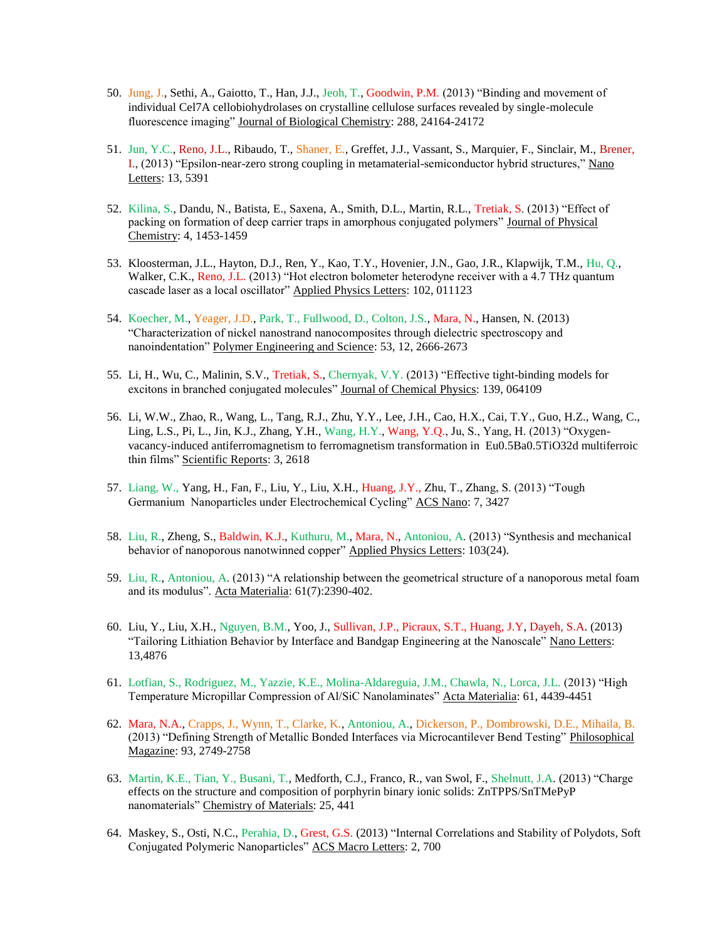- 50. Jung, J., Sethi, A., Gaiotto, T., Han, J.J., Jeoh, T., Goodwin, P.M. (2013) "Binding and movement of individual Cel7A cellobiohydrolases on crystalline cellulose surfaces revealed by single-molecule fluorescence imaging" Journal of Biological Chemistry: 288, 24164-24172
- 51. Jun, Y.C., Reno, J.L., Ribaudo, T., Shaner, E., Greffet, J.J., Vassant, S., Marquier, F., Sinclair, M., Brener, I., (2013) "Epsilon-near-zero strong coupling in metamaterial-semiconductor hybrid structures," Nano Letters: 13, 5391
- 52. Kilina, S., Dandu, N., Batista, E., Saxena, A., Smith, D.L., Martin, R.L., Tretiak, S. (2013) "Effect of packing on formation of deep carrier traps in amorphous conjugated polymers" Journal of Physical Chemistry: 4, 1453-1459
- 53. Kloosterman, J.L., Hayton, D.J., Ren, Y., Kao, T.Y., Hovenier, J.N., Gao, J.R., Klapwijk, T.M., Hu, Q., Walker, C.K., Reno, J.L. (2013) "Hot electron bolometer heterodyne receiver with a 4.7 THz quantum cascade laser as a local oscillator" Applied Physics Letters: 102, 011123
- 54. Koecher, M., Yeager, J.D., Park, T., Fullwood, D., Colton, J.S., Mara, N., Hansen, N. (2013) "Characterization of nickel nanostrand nanocomposites through dielectric spectroscopy and nanoindentation" Polymer Engineering and Science: 53, 12, 2666-2673
- 55. Li, H., Wu, C., Malinin, S.V., Tretiak, S., Chernyak, V.Y. (2013) "Effective tight-binding models for excitons in branched conjugated molecules" Journal of Chemical Physics: 139, 064109
- 56. Li, W.W., Zhao, R., Wang, L., Tang, R.J., Zhu, Y.Y., Lee, J.H., Cao, H.X., Cai, T.Y., Guo, H.Z., Wang, C., Ling, L.S., Pi, L., Jin, K.J., Zhang, Y.H., Wang, H.Y., Wang, Y.Q., Ju, S., Yang, H. (2013) "Oxygenvacancy-induced antiferromagnetism to ferromagnetism transformation in Eu0.5Ba0.5TiO32d multiferroic thin films" Scientific Reports: 3, 2618
- 57. Liang, W., Yang, H., Fan, F., Liu, Y., Liu, X.H., Huang, J.Y., Zhu, T., Zhang, S. (2013) "Tough Germanium Nanoparticles under Electrochemical Cycling" ACS Nano: 7, 3427
- 58. Liu, R., Zheng, S., Baldwin, K.J., Kuthuru, M., Mara, N., Antoniou, A. (2013) "Synthesis and mechanical behavior of nanoporous nanotwinned copper" Applied Physics Letters: 103(24).
- 59. Liu, R., Antoniou, A. (2013) "A relationship between the geometrical structure of a nanoporous metal foam and its modulus". Acta Materialia: 61(7):2390-402.
- 60. Liu, Y., Liu, X.H., Nguyen, B.M., Yoo, J., Sullivan, J.P., Picraux, S.T., Huang, J.Y, Dayeh, S.A. (2013) "Tailoring Lithiation Behavior by Interface and Bandgap Engineering at the Nanoscale" Nano Letters: 13,4876
- 61. Lotfian, S., Rodriguez, M., Yazzie, K.E., Molina-Aldareguia, J.M., Chawla, N., Lorca, J.L. (2013) "High Temperature Micropillar Compression of Al/SiC Nanolaminates" Acta Materialia: 61, 4439-4451
- 62. Mara, N.A., Crapps, J., Wynn, T., Clarke, K., Antoniou, A., Dickerson, P., Dombrowski, D.E., Mihaila, B. (2013) "Defining Strength of Metallic Bonded Interfaces via Microcantilever Bend Testing" Philosophical Magazine: 93, 2749-2758
- 63. Martin, K.E., Tian, Y., Busani, T., Medforth, C.J., Franco, R., van Swol, F., Shelnutt, J.A. (2013) "Charge effects on the structure and composition of porphyrin binary ionic solids: ZnTPPS/SnTMePyP nanomaterials" Chemistry of Materials: 25, 441
- 64. Maskey, S., Osti, N.C., Perahia, D., Grest, G.S. (2013) "Internal Correlations and Stability of Polydots, Soft Conjugated Polymeric Nanoparticles" ACS Macro Letters: 2, 700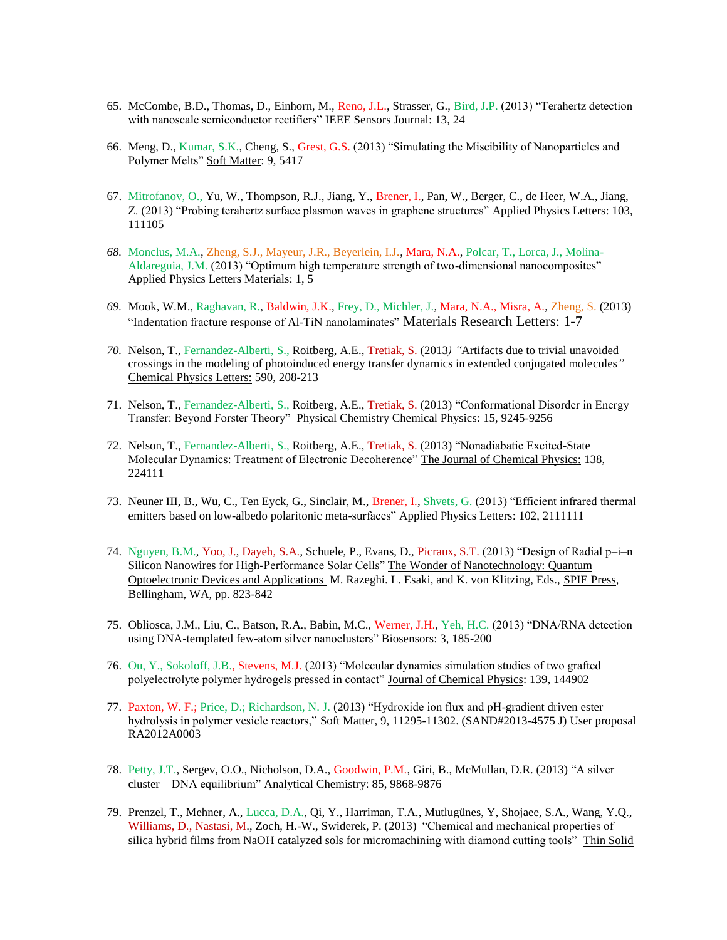- 65. McCombe, B.D., Thomas, D., Einhorn, M., Reno, J.L., Strasser, G., Bird, J.P. (2013) "Terahertz detection with nanoscale semiconductor rectifiers" IEEE Sensors Journal: 13, 24
- 66. Meng, D., Kumar, S.K., Cheng, S., Grest, G.S. (2013) "Simulating the Miscibility of Nanoparticles and Polymer Melts" Soft Matter: 9, 5417
- 67. Mitrofanov, O., Yu, W., Thompson, R.J., Jiang, Y., Brener, I., Pan, W., Berger, C., de Heer, W.A., Jiang, Z. (2013) "Probing terahertz surface plasmon waves in graphene structures" Applied Physics Letters: 103, 111105
- *68.* Monclus, M.A., Zheng, S.J., Mayeur, J.R., Beyerlein, I.J., Mara, N.A., Polcar, T., Lorca, J., Molina-Aldareguia, J.M. (2013) "Optimum high temperature strength of two-dimensional nanocomposites" Applied Physics Letters Materials: 1, 5
- *69.* Mook, W.M., Raghavan, R., Baldwin, J.K., Frey, D., Michler, J., Mara, N.A., Misra, A., Zheng, S. (2013) "Indentation fracture response of Al-TiN nanolaminates" Materials Research Letters: 1-7
- *70.* Nelson, T., Fernandez-Alberti, S., Roitberg, A.E., Tretiak, S. (2013*) "*Artifacts due to trivial unavoided crossings in the modeling of photoinduced energy transfer dynamics in extended conjugated molecules*"* Chemical Physics Letters: 590, 208-213
- 71. Nelson, T., Fernandez-Alberti, S., Roitberg, A.E., Tretiak, S. (2013) "Conformational Disorder in Energy Transfer: Beyond Forster Theory" Physical Chemistry Chemical Physics: 15, 9245-9256
- 72. Nelson, T., Fernandez-Alberti, S., Roitberg, A.E., Tretiak, S. (2013) "Nonadiabatic Excited-State Molecular Dynamics: Treatment of Electronic Decoherence" The Journal of Chemical Physics: 138, 224111
- 73. Neuner III, B., Wu, C., Ten Eyck, G., Sinclair, M., Brener, I., Shvets, G. (2013) "Efficient infrared thermal emitters based on low-albedo polaritonic meta-surfaces" Applied Physics Letters: 102, 2111111
- 74. Nguyen, B.M., Yoo, J., Dayeh, S.A., Schuele, P., Evans, D., Picraux, S.T. (2013) "Design of Radial p–i–n Silicon Nanowires for High-Performance Solar Cells" The Wonder of Nanotechnology: Quantum Optoelectronic Devices and Applications M. Razeghi. L. Esaki, and K. von Klitzing, Eds., SPIE Press, Bellingham, WA, pp. 823-842
- 75. Obliosca, J.M., Liu, C., Batson, R.A., Babin, M.C., Werner, J.H., Yeh, H.C. (2013) "DNA/RNA detection using DNA-templated few-atom silver nanoclusters" Biosensors: 3, 185-200
- 76. Ou, Y., Sokoloff, J.B., Stevens, M.J. (2013) "Molecular dynamics simulation studies of two grafted polyelectrolyte polymer hydrogels pressed in contact" Journal of Chemical Physics: 139, 144902
- 77. Paxton, W. F.; Price, D.; Richardson, N. J. (2013) "Hydroxide ion flux and pH-gradient driven ester hydrolysis in polymer vesicle reactors," Soft Matter, 9, 11295-11302. (SAND#2013-4575 J) User proposal RA2012A0003
- 78. Petty, J.T., Sergev, O.O., Nicholson, D.A., Goodwin, P.M., Giri, B., McMullan, D.R. (2013) "A silver cluster—DNA equilibrium" Analytical Chemistry: 85, 9868-9876
- 79. Prenzel, T., Mehner, A., Lucca, D.A., Qi, Y., Harriman, T.A., Mutlugünes, Y, Shojaee, S.A., Wang, Y.Q., Williams, D., Nastasi, M., Zoch, H.-W., Swiderek, P. (2013) "Chemical and mechanical properties of silica hybrid films from NaOH catalyzed sols for micromachining with diamond cutting tools" Thin Solid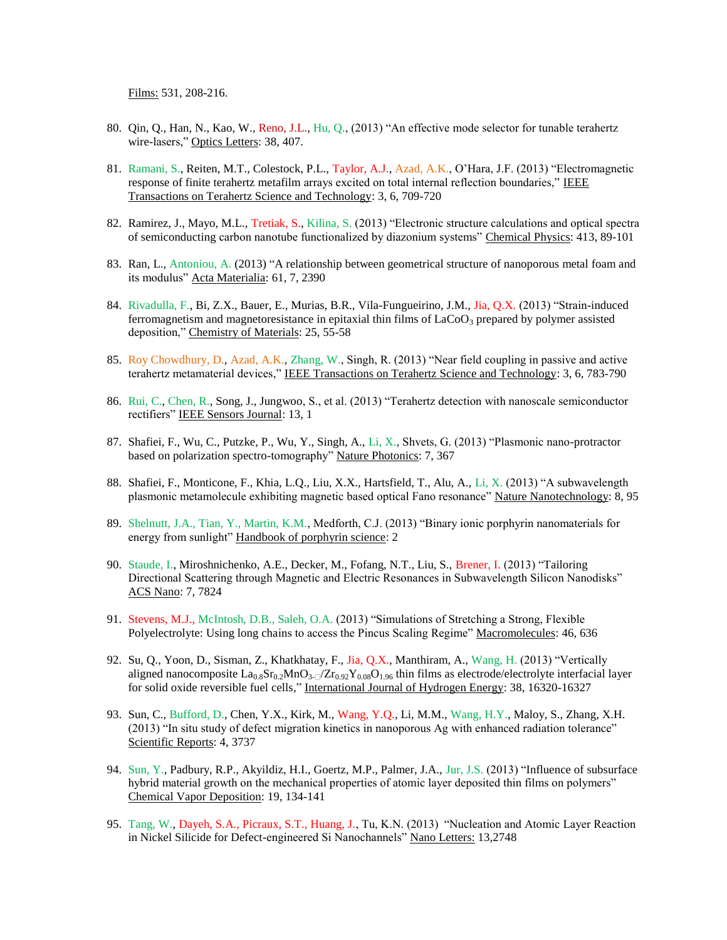Films: 531, 208-216.

- 80. Qin, Q., Han, N., Kao, W., Reno, J.L., Hu, Q., (2013) "An effective mode selector for tunable terahertz wire-lasers," Optics Letters: 38, 407.
- 81. Ramani, S., Reiten, M.T., Colestock, P.L., Taylor, A.J., Azad, A.K., O'Hara, J.F. (2013) "Electromagnetic response of finite terahertz metafilm arrays excited on total internal reflection boundaries," IEEE Transactions on Terahertz Science and Technology: 3, 6, 709-720
- 82. Ramirez, J., Mayo, M.L., Tretiak, S., Kilina, S. (2013) "Electronic structure calculations and optical spectra of semiconducting carbon nanotube functionalized by diazonium systems" Chemical Physics: 413, 89-101
- 83. Ran, L., Antoniou, A. (2013) "A relationship between geometrical structure of nanoporous metal foam and its modulus" Acta Materialia: 61, 7, 2390
- 84. Rivadulla, F., Bi, Z.X., Bauer, E., Murias, B.R., Vila-Fungueirino, J.M., Jia, Q.X. (2013) "Strain-induced ferromagnetism and magnetoresistance in epitaxial thin films of  $LaCoO<sub>3</sub>$  prepared by polymer assisted deposition," Chemistry of Materials: 25, 55-58
- 85. Roy Chowdhury, D., Azad, A.K., Zhang, W., Singh, R. (2013) "Near field coupling in passive and active terahertz metamaterial devices," IEEE Transactions on Terahertz Science and Technology: 3, 6, 783-790
- 86. Rui, C., Chen, R., Song, J., Jungwoo, S., et al. (2013) "Terahertz detection with nanoscale semiconductor rectifiers" IEEE Sensors Journal: 13, 1
- 87. Shafiei, F., Wu, C., Putzke, P., Wu, Y., Singh, A., Li, X., Shvets, G. (2013) "Plasmonic nano-protractor based on polarization spectro-tomography" Nature Photonics: 7, 367
- 88. Shafiei, F., Monticone, F., Khia, L.Q., Liu, X.X., Hartsfield, T., Alu, A., Li, X. (2013) "A subwavelength plasmonic metamolecule exhibiting magnetic based optical Fano resonance" Nature Nanotechnology: 8, 95
- 89. Shelnutt, J.A., Tian, Y., Martin, K.M., Medforth, C.J. (2013) "Binary ionic porphyrin nanomaterials for energy from sunlight" Handbook of porphyrin science: 2
- 90. Staude, I., Miroshnichenko, A.E., Decker, M., Fofang, N.T., Liu, S., Brener, I. (2013) "Tailoring Directional Scattering through Magnetic and Electric Resonances in Subwavelength Silicon Nanodisks" ACS Nano: 7, 7824
- 91. Stevens, M.J., McIntosh, D.B., Saleh, O.A. (2013) "Simulations of Stretching a Strong, Flexible Polyelectrolyte: Using long chains to access the Pincus Scaling Regime" Macromolecules: 46, 636
- 92. Su, Q., Yoon, D., Sisman, Z., Khatkhatay, F., Jia, Q.X., Manthiram, A., Wang, H. (2013) "Vertically aligned nanocomposite  $La_{0.8}Sr_{0.2}MnO_{3-1}/Zr_{0.92}Y_{0.08}O_{1.96}$  thin films as electrode/electrolyte interfacial layer for solid oxide reversible fuel cells*,*" International Journal of Hydrogen Energy: 38, 16320-16327
- 93. Sun, C., Bufford, D., Chen, Y.X., Kirk, M., Wang, Y.Q., Li, M.M., Wang, H.Y., Maloy, S., Zhang, X.H. (2013) "In situ study of defect migration kinetics in nanoporous Ag with enhanced radiation tolerance" Scientific Reports: 4, 3737
- 94. Sun, Y., Padbury, R.P., Akyildiz, H.I., Goertz, M.P., Palmer, J.A., Jur, J.S. (2013) "Influence of subsurface hybrid material growth on the mechanical properties of atomic layer deposited thin films on polymers" Chemical Vapor Deposition: 19, 134-141
- 95. Tang, W., Dayeh, S.A., Picraux, S.T., Huang, J., Tu, K.N. (2013) "Nucleation and Atomic Layer Reaction in Nickel Silicide for Defect-engineered Si Nanochannels" Nano Letters: 13,2748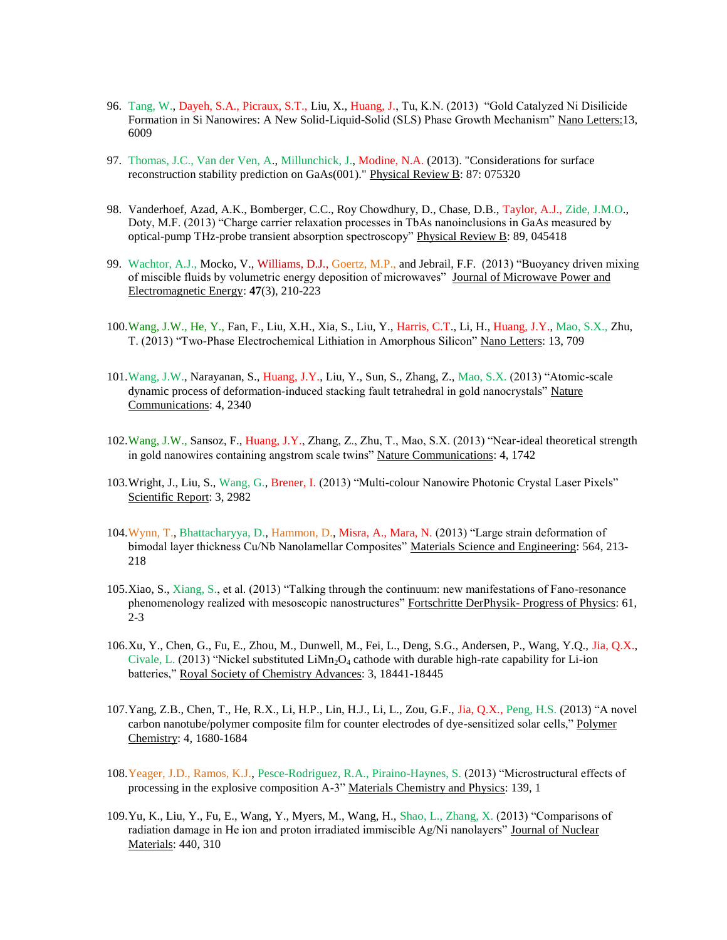- 96. Tang, W., Dayeh, S.A., Picraux, S.T., Liu, X., Huang, J., Tu, K.N. (2013) "Gold Catalyzed Ni Disilicide Formation in Si Nanowires: A New Solid-Liquid-Solid (SLS) Phase Growth Mechanism" Nano Letters:13, 6009
- 97. Thomas, J.C., Van der Ven, A., Millunchick, J., Modine, N.A. (2013). "Considerations for surface reconstruction stability prediction on GaAs(001)." Physical Review B: 87: 075320
- 98. Vanderhoef, Azad, A.K., Bomberger, C.C., Roy Chowdhury, D., Chase, D.B., Taylor, A.J., Zide, J.M.O., Doty, M.F. (2013) "Charge carrier relaxation processes in TbAs nanoinclusions in GaAs measured by optical-pump THz-probe transient absorption spectroscopy" Physical Review B: 89, 045418
- 99. Wachtor, A.J., Mocko, V., Williams, D.J., Goertz, M.P., and Jebrail, F.F. (2013) "Buoyancy driven mixing of miscible fluids by volumetric energy deposition of microwaves" Journal of Microwave Power and Electromagnetic Energy: **47**(3), 210-223
- 100.Wang, J.W., He, Y., Fan, F., Liu, X.H., Xia, S., Liu, Y., Harris, C.T., Li, H., Huang, J.Y., Mao, S.X., Zhu, T. (2013) "Two-Phase Electrochemical Lithiation in Amorphous Silicon" Nano Letters: 13, 709
- 101.Wang, J.W., Narayanan, S., Huang, J.Y., Liu, Y., Sun, S., Zhang, Z., Mao, S.X. (2013) "Atomic-scale dynamic process of deformation-induced stacking fault tetrahedral in gold nanocrystals" Nature Communications: 4, 2340
- 102.Wang, J.W., Sansoz, F., Huang, J.Y., Zhang, Z., Zhu, T., Mao, S.X. (2013) "Near-ideal theoretical strength in gold nanowires containing angstrom scale twins" Nature Communications: 4, 1742
- 103.Wright, J., Liu, S., Wang, G., Brener, I. (2013) "Multi-colour Nanowire Photonic Crystal Laser Pixels" Scientific Report: 3, 2982
- 104.Wynn, T., Bhattacharyya, D., Hammon, D., Misra, A., Mara, N. (2013) "Large strain deformation of bimodal layer thickness Cu/Nb Nanolamellar Composites" Materials Science and Engineering: 564, 213-218
- 105.Xiao, S., Xiang, S., et al. (2013) "Talking through the continuum: new manifestations of Fano-resonance phenomenology realized with mesoscopic nanostructures" Fortschritte DerPhysik- Progress of Physics: 61, 2-3
- 106.Xu, Y., Chen, G., Fu, E., Zhou, M., Dunwell, M., Fei, L., Deng, S.G., Andersen, P., Wang, Y.Q., Jia, Q.X., Civale, L. (2013) "Nickel substituted  $Lim_2O_4$  cathode with durable high-rate capability for Li-ion batteries," Royal Society of Chemistry Advances: 3, 18441-18445
- 107.Yang, Z.B., Chen, T., He, R.X., Li, H.P., Lin, H.J., Li, L., Zou, G.F., Jia, Q.X., Peng, H.S. (2013) "A novel carbon nanotube/polymer composite film for counter electrodes of dye-sensitized solar cells," Polymer Chemistry: 4, 1680-1684
- 108.Yeager, J.D., Ramos, K.J., Pesce-Rodriguez, R.A., Piraino-Haynes, S. (2013) "Microstructural effects of processing in the explosive composition A-3" Materials Chemistry and Physics: 139, 1
- 109.Yu, K., Liu, Y., Fu, E., Wang, Y., Myers, M., Wang, H., Shao, L., Zhang, X. (2013) "Comparisons of radiation damage in He ion and proton irradiated immiscible Ag/Ni nanolayers" Journal of Nuclear Materials: 440, 310